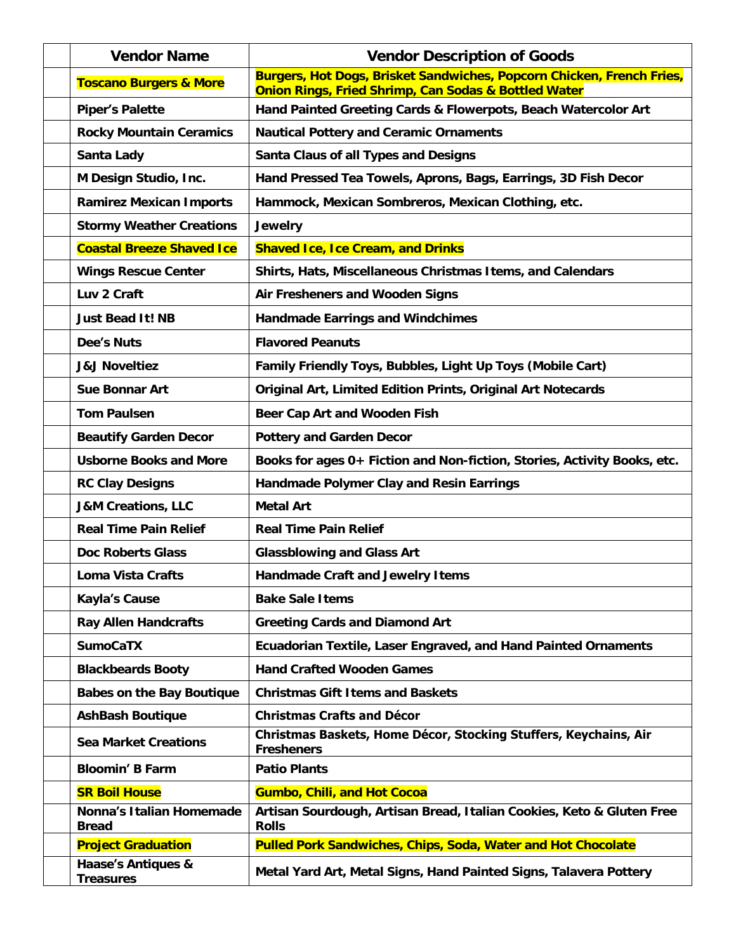| <b>Vendor Name</b>                       | <b>Vendor Description of Goods</b>                                                                                            |
|------------------------------------------|-------------------------------------------------------------------------------------------------------------------------------|
| <b>Toscano Burgers &amp; More</b>        | Burgers, Hot Dogs, Brisket Sandwiches, Popcorn Chicken, French Fries,<br>Onion Rings, Fried Shrimp, Can Sodas & Bottled Water |
| <b>Piper's Palette</b>                   | Hand Painted Greeting Cards & Flowerpots, Beach Watercolor Art                                                                |
| <b>Rocky Mountain Ceramics</b>           | <b>Nautical Pottery and Ceramic Ornaments</b>                                                                                 |
| Santa Lady                               | Santa Claus of all Types and Designs                                                                                          |
| M Design Studio, Inc.                    | Hand Pressed Tea Towels, Aprons, Bags, Earrings, 3D Fish Decor                                                                |
| <b>Ramirez Mexican Imports</b>           | Hammock, Mexican Sombreros, Mexican Clothing, etc.                                                                            |
| <b>Stormy Weather Creations</b>          | Jewelry                                                                                                                       |
| <b>Coastal Breeze Shaved Ice</b>         | <b>Shaved Ice, Ice Cream, and Drinks</b>                                                                                      |
| <b>Wings Rescue Center</b>               | Shirts, Hats, Miscellaneous Christmas Items, and Calendars                                                                    |
| Luv 2 Craft                              | Air Fresheners and Wooden Signs                                                                                               |
| <b>Just Bead It! NB</b>                  | <b>Handmade Earrings and Windchimes</b>                                                                                       |
| Dee's Nuts                               | <b>Flavored Peanuts</b>                                                                                                       |
| <b>J&amp;J Noveltiez</b>                 | Family Friendly Toys, Bubbles, Light Up Toys (Mobile Cart)                                                                    |
| Sue Bonnar Art                           | Original Art, Limited Edition Prints, Original Art Notecards                                                                  |
| <b>Tom Paulsen</b>                       | Beer Cap Art and Wooden Fish                                                                                                  |
| <b>Beautify Garden Decor</b>             | <b>Pottery and Garden Decor</b>                                                                                               |
| <b>Usborne Books and More</b>            | Books for ages 0+ Fiction and Non-fiction, Stories, Activity Books, etc.                                                      |
| <b>RC Clay Designs</b>                   | Handmade Polymer Clay and Resin Earrings                                                                                      |
| <b>J&amp;M Creations, LLC</b>            | <b>Metal Art</b>                                                                                                              |
| <b>Real Time Pain Relief</b>             | <b>Real Time Pain Relief</b>                                                                                                  |
| <b>Doc Roberts Glass</b>                 | <b>Glassblowing and Glass Art</b>                                                                                             |
| Loma Vista Crafts                        | Handmade Craft and Jewelry I tems                                                                                             |
| Kayla's Cause                            | <b>Bake Sale Items</b>                                                                                                        |
| <b>Ray Allen Handcrafts</b>              | <b>Greeting Cards and Diamond Art</b>                                                                                         |
| <b>SumoCaTX</b>                          | Ecuadorian Textile, Laser Engraved, and Hand Painted Ornaments                                                                |
| <b>Blackbeards Booty</b>                 | <b>Hand Crafted Wooden Games</b>                                                                                              |
| <b>Babes on the Bay Boutique</b>         | <b>Christmas Gift I tems and Baskets</b>                                                                                      |
| <b>AshBash Boutique</b>                  | <b>Christmas Crafts and Décor</b>                                                                                             |
| <b>Sea Market Creations</b>              | Christmas Baskets, Home Décor, Stocking Stuffers, Keychains, Air<br><b>Fresheners</b>                                         |
| <b>Bloomin' B Farm</b>                   | <b>Patio Plants</b>                                                                                                           |
| <b>SR Boil House</b>                     | <b>Gumbo, Chili, and Hot Cocoa</b>                                                                                            |
| Nonna's Italian Homemade<br><b>Bread</b> | Artisan Sourdough, Artisan Bread, Italian Cookies, Keto & Gluten Free<br><b>Rolls</b>                                         |
| <b>Project Graduation</b>                | Pulled Pork Sandwiches, Chips, Soda, Water and Hot Chocolate                                                                  |
| Haase's Antiques &<br><b>Treasures</b>   | Metal Yard Art, Metal Signs, Hand Painted Signs, Talavera Pottery                                                             |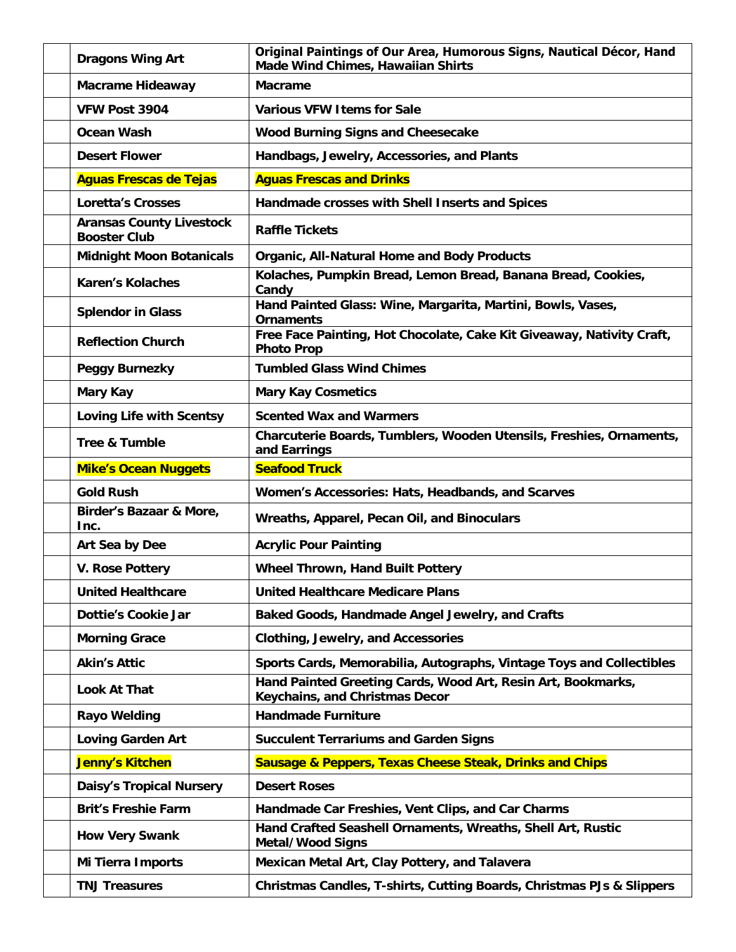| Dragons Wing Art                                       | Original Paintings of Our Area, Humorous Signs, Nautical Décor, Hand<br>Made Wind Chimes, Hawaiian Shirts |
|--------------------------------------------------------|-----------------------------------------------------------------------------------------------------------|
| Macrame Hideaway                                       | Macrame                                                                                                   |
| VFW Post 3904                                          | <b>Various VFW Items for Sale</b>                                                                         |
| Ocean Wash                                             | Wood Burning Signs and Cheesecake                                                                         |
| <b>Desert Flower</b>                                   | Handbags, Jewelry, Accessories, and Plants                                                                |
| <b>Aguas Frescas de Tejas</b>                          | <b>Aguas Frescas and Drinks</b>                                                                           |
| Loretta's Crosses                                      | Handmade crosses with Shell Inserts and Spices                                                            |
| <b>Aransas County Livestock</b><br><b>Booster Club</b> | <b>Raffle Tickets</b>                                                                                     |
| <b>Midnight Moon Botanicals</b>                        | Organic, All-Natural Home and Body Products                                                               |
| <b>Karen's Kolaches</b>                                | Kolaches, Pumpkin Bread, Lemon Bread, Banana Bread, Cookies,<br>Candy                                     |
| <b>Splendor in Glass</b>                               | Hand Painted Glass: Wine, Margarita, Martini, Bowls, Vases,<br>Ornaments                                  |
| <b>Reflection Church</b>                               | Free Face Painting, Hot Chocolate, Cake Kit Giveaway, Nativity Craft,<br><b>Photo Prop</b>                |
| Peggy Burnezky                                         | <b>Tumbled Glass Wind Chimes</b>                                                                          |
| Mary Kay                                               | <b>Mary Kay Cosmetics</b>                                                                                 |
| Loving Life with Scentsy                               | <b>Scented Wax and Warmers</b>                                                                            |
| <b>Tree &amp; Tumble</b>                               | Charcuterie Boards, Tumblers, Wooden Utensils, Freshies, Ornaments,<br>and Earrings                       |
| <b>Mike's Ocean Nuggets</b>                            | <b>Seafood Truck</b>                                                                                      |
| <b>Gold Rush</b>                                       | Women's Accessories: Hats, Headbands, and Scarves                                                         |
| Birder's Bazaar & More,<br>Inc.                        | Wreaths, Apparel, Pecan Oil, and Binoculars                                                               |
| Art Sea by Dee                                         | <b>Acrylic Pour Painting</b>                                                                              |
| V. Rose Pottery                                        | Wheel Thrown, Hand Built Pottery                                                                          |
| <b>United Healthcare</b>                               | <b>United Healthcare Medicare Plans</b>                                                                   |
| Dottie's Cookie Jar                                    | Baked Goods, Handmade Angel Jewelry, and Crafts                                                           |
| <b>Morning Grace</b>                                   | Clothing, Jewelry, and Accessories                                                                        |
| <b>Akin's Attic</b>                                    | Sports Cards, Memorabilia, Autographs, Vintage Toys and Collectibles                                      |
| Look At That                                           | Hand Painted Greeting Cards, Wood Art, Resin Art, Bookmarks,<br>Keychains, and Christmas Decor            |
| Rayo Welding                                           | <b>Handmade Furniture</b>                                                                                 |
| <b>Loving Garden Art</b>                               | <b>Succulent Terrariums and Garden Signs</b>                                                              |
| Jenny's Kitchen                                        | Sausage & Peppers, Texas Cheese Steak, Drinks and Chips                                                   |
| <b>Daisy's Tropical Nursery</b>                        | <b>Desert Roses</b>                                                                                       |
| <b>Brit's Freshie Farm</b>                             | Handmade Car Freshies, Vent Clips, and Car Charms                                                         |
| <b>How Very Swank</b>                                  | Hand Crafted Seashell Ornaments, Wreaths, Shell Art, Rustic<br>Metal/Wood Signs                           |
| Mi Tierra Imports                                      | Mexican Metal Art, Clay Pottery, and Talavera                                                             |
| <b>TNJ Treasures</b>                                   | Christmas Candles, T-shirts, Cutting Boards, Christmas PJs & Slippers                                     |